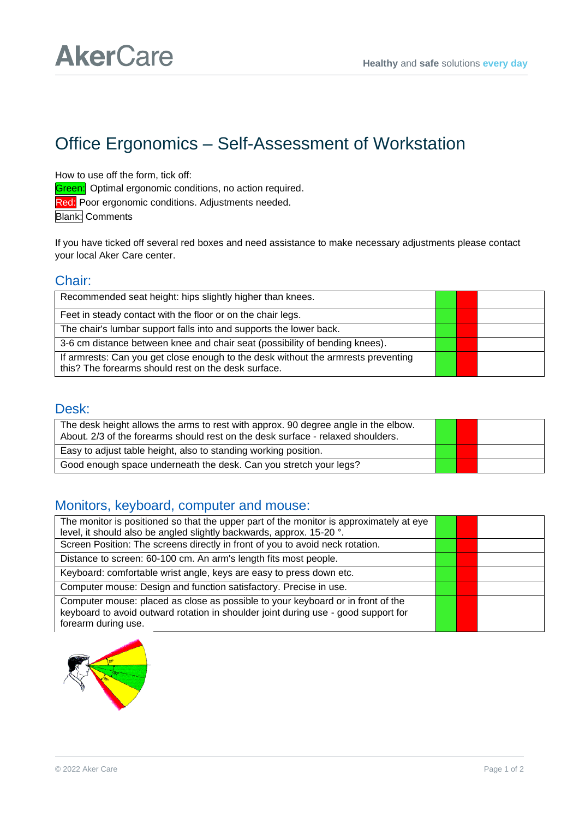# Office Ergonomics – Self-Assessment of Workstation

How to use off the form, tick off:

Green: Optimal ergonomic conditions, no action required.

Red: Poor ergonomic conditions. Adjustments needed.

**Blank:** Comments

If you have ticked off several red boxes and need assistance to make necessary adjustments please contact your local Aker Care center.

#### Chair:

| Recommended seat height: hips slightly higher than knees.                                                                                |  |  |
|------------------------------------------------------------------------------------------------------------------------------------------|--|--|
| Feet in steady contact with the floor or on the chair legs.                                                                              |  |  |
| The chair's lumbar support falls into and supports the lower back.                                                                       |  |  |
| 3-6 cm distance between knee and chair seat (possibility of bending knees).                                                              |  |  |
| If armrests: Can you get close enough to the desk without the armrests preventing<br>this? The forearms should rest on the desk surface. |  |  |

#### Desk:

| The desk height allows the arms to rest with approx. 90 degree angle in the elbow.<br>About. 2/3 of the forearms should rest on the desk surface - relaxed shoulders. |  |  |
|-----------------------------------------------------------------------------------------------------------------------------------------------------------------------|--|--|
| Easy to adjust table height, also to standing working position.                                                                                                       |  |  |
| Good enough space underneath the desk. Can you stretch your legs?                                                                                                     |  |  |

### Monitors, keyboard, computer and mouse:

| The monitor is positioned so that the upper part of the monitor is approximately at eye                                                                                                      |  |  |
|----------------------------------------------------------------------------------------------------------------------------------------------------------------------------------------------|--|--|
| level, it should also be angled slightly backwards, approx. 15-20 °.                                                                                                                         |  |  |
| Screen Position: The screens directly in front of you to avoid neck rotation.                                                                                                                |  |  |
| Distance to screen: 60-100 cm. An arm's length fits most people.                                                                                                                             |  |  |
| Keyboard: comfortable wrist angle, keys are easy to press down etc.                                                                                                                          |  |  |
| Computer mouse: Design and function satisfactory. Precise in use.                                                                                                                            |  |  |
| Computer mouse: placed as close as possible to your keyboard or in front of the<br>keyboard to avoid outward rotation in shoulder joint during use - good support for<br>forearm during use. |  |  |